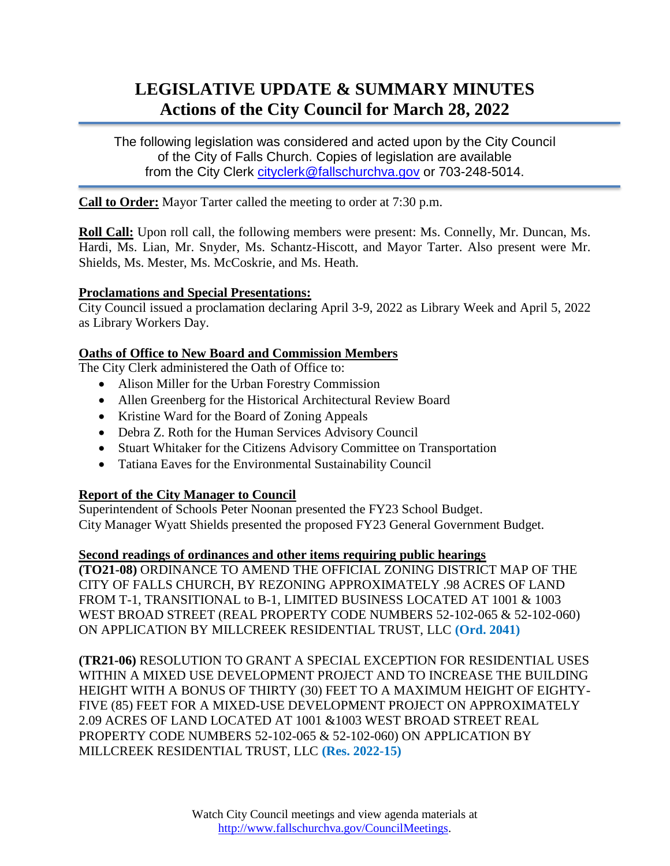# **LEGISLATIVE UPDATE & SUMMARY MINUTES Actions of the City Council for March 28, 2022**

The following legislation was considered and acted upon by the City Council of the City of Falls Church. Copies of legislation are available from the City Clerk [cityclerk@fallschurchva.gov](mailto:cityclerk@fallschurchva.gov) or 703-248-5014.

**Call to Order:** Mayor Tarter called the meeting to order at 7:30 p.m.

**Roll Call:** Upon roll call, the following members were present: Ms. Connelly, Mr. Duncan, Ms. Hardi, Ms. Lian, Mr. Snyder, Ms. Schantz-Hiscott, and Mayor Tarter. Also present were Mr. Shields, Ms. Mester, Ms. McCoskrie, and Ms. Heath.

### **Proclamations and Special Presentations:**

City Council issued a proclamation declaring April 3-9, 2022 as Library Week and April 5, 2022 as Library Workers Day.

#### **Oaths of Office to New Board and Commission Members**

The City Clerk administered the Oath of Office to:

- Alison Miller for the Urban Forestry Commission
- Allen Greenberg for the Historical Architectural Review Board
- Kristine Ward for the Board of Zoning Appeals
- Debra Z. Roth for the Human Services Advisory Council
- Stuart Whitaker for the Citizens Advisory Committee on Transportation
- Tatiana Eaves for the Environmental Sustainability Council

## **Report of the City Manager to Council**

Superintendent of Schools Peter Noonan presented the FY23 School Budget. City Manager Wyatt Shields presented the proposed FY23 General Government Budget.

#### **Second readings of ordinances and other items requiring public hearings**

**(TO21-08)** ORDINANCE TO AMEND THE OFFICIAL ZONING DISTRICT MAP OF THE CITY OF FALLS CHURCH, BY REZONING APPROXIMATELY .98 ACRES OF LAND FROM T-1, TRANSITIONAL to B-1, LIMITED BUSINESS LOCATED AT 1001 & 1003 WEST BROAD STREET (REAL PROPERTY CODE NUMBERS 52-102-065 & 52-102-060) ON APPLICATION BY MILLCREEK RESIDENTIAL TRUST, LLC **(Ord. 2041)**

**(TR21-06)** RESOLUTION TO GRANT A SPECIAL EXCEPTION FOR RESIDENTIAL USES WITHIN A MIXED USE DEVELOPMENT PROJECT AND TO INCREASE THE BUILDING HEIGHT WITH A BONUS OF THIRTY (30) FEET TO A MAXIMUM HEIGHT OF EIGHTY-FIVE (85) FEET FOR A MIXED-USE DEVELOPMENT PROJECT ON APPROXIMATELY 2.09 ACRES OF LAND LOCATED AT 1001 &1003 WEST BROAD STREET REAL PROPERTY CODE NUMBERS 52-102-065 & 52-102-060) ON APPLICATION BY MILLCREEK RESIDENTIAL TRUST, LLC **(Res. 2022-15)**